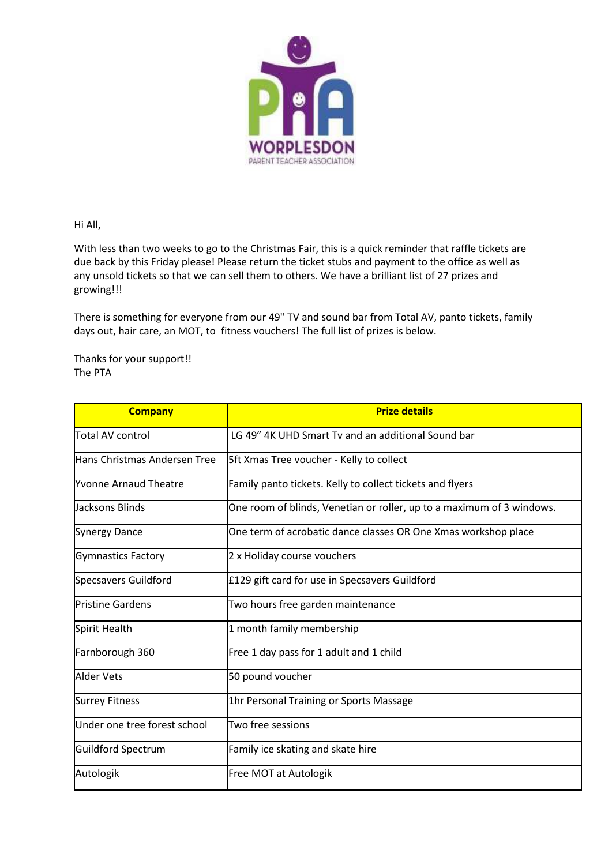

Hi All,

With less than two weeks to go to the Christmas Fair, this is a quick reminder that raffle tickets are due back by this Friday please! Please return the ticket stubs and payment to the office as well as any unsold tickets so that we can sell them to others. We have a brilliant list of 27 prizes and growing!!!

There is something for everyone from our 49" TV and sound bar from Total AV, panto tickets, family days out, hair care, an MOT, to fitness vouchers! The full list of prizes is below.

Thanks for your support!! The PTA

| <b>Company</b>               | <b>Prize details</b>                                                  |
|------------------------------|-----------------------------------------------------------------------|
| <b>Total AV control</b>      | LG 49" 4K UHD Smart Tv and an additional Sound bar                    |
| Hans Christmas Andersen Tree | 5ft Xmas Tree voucher - Kelly to collect                              |
| <b>Nvonne Arnaud Theatre</b> | Family panto tickets. Kelly to collect tickets and flyers             |
| <b>Jacksons Blinds</b>       | One room of blinds, Venetian or roller, up to a maximum of 3 windows. |
| <b>Synergy Dance</b>         | One term of acrobatic dance classes OR One Xmas workshop place        |
| <b>Gymnastics Factory</b>    | 2 x Holiday course vouchers                                           |
| <b>Specsavers Guildford</b>  | £129 gift card for use in Specsavers Guildford                        |
| <b>Pristine Gardens</b>      | Two hours free garden maintenance                                     |
| Spirit Health                | 1 month family membership                                             |
| Farnborough 360              | Free 1 day pass for 1 adult and 1 child                               |
| <b>Alder Vets</b>            | 50 pound voucher                                                      |
| <b>Surrey Fitness</b>        | 1hr Personal Training or Sports Massage                               |
| Under one tree forest school | Two free sessions                                                     |
| <b>Guildford Spectrum</b>    | Family ice skating and skate hire                                     |
| Autologik                    | Free MOT at Autologik                                                 |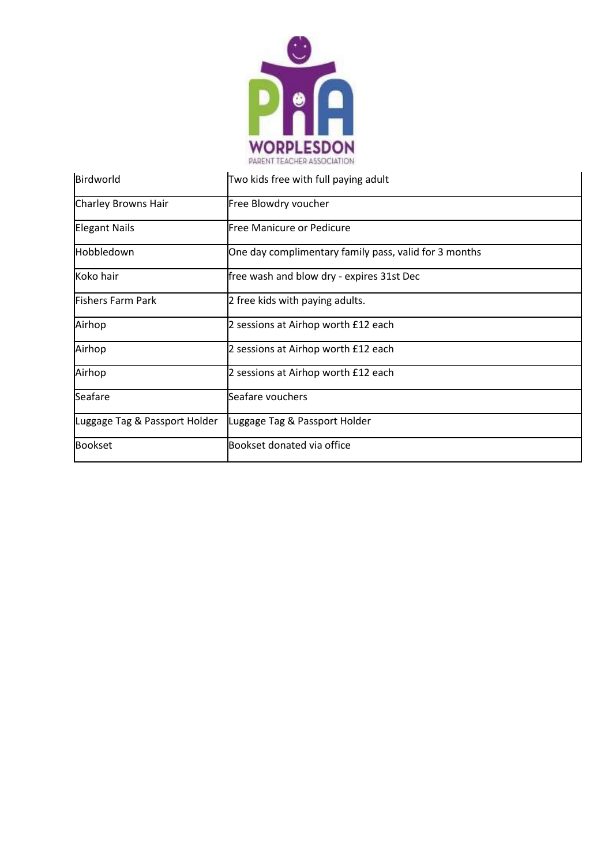

| Birdworld                     | Two kids free with full paying adult                  |
|-------------------------------|-------------------------------------------------------|
| Charley Browns Hair           | Free Blowdry voucher                                  |
| <b>Elegant Nails</b>          | <b>Free Manicure or Pedicure</b>                      |
| Hobbledown                    | One day complimentary family pass, valid for 3 months |
| Koko hair                     | free wash and blow dry - expires 31st Dec             |
| <b>Fishers Farm Park</b>      | 2 free kids with paying adults.                       |
| Airhop                        | 2 sessions at Airhop worth £12 each                   |
| Airhop                        | 2 sessions at Airhop worth £12 each                   |
| Airhop                        | 2 sessions at Airhop worth £12 each                   |
| Seafare                       | Seafare vouchers                                      |
| Luggage Tag & Passport Holder | Luggage Tag & Passport Holder                         |
| <b>Bookset</b>                | Bookset donated via office                            |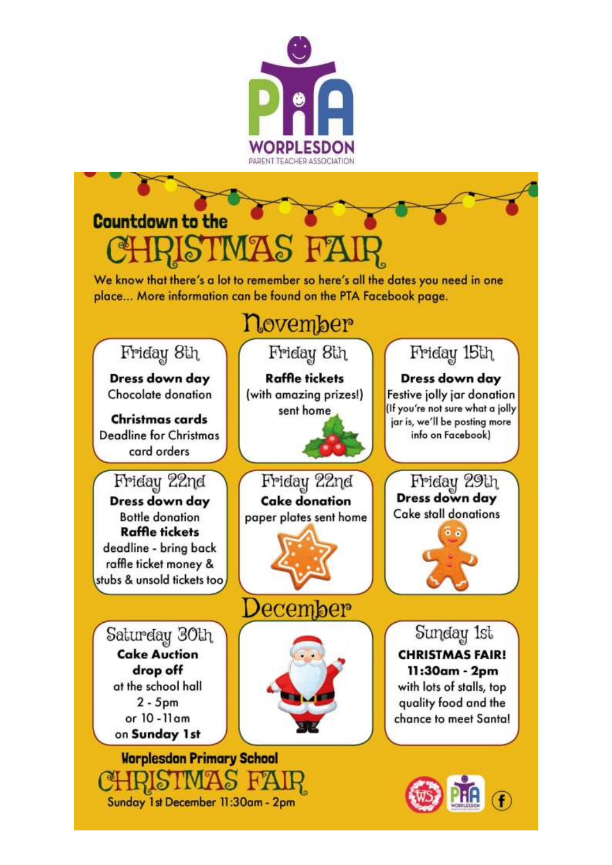

## **Countdown to the**

We know that there's a lot to remember so here's all the dates you need in one place... More information can be found on the PTA Facebook page.

## november